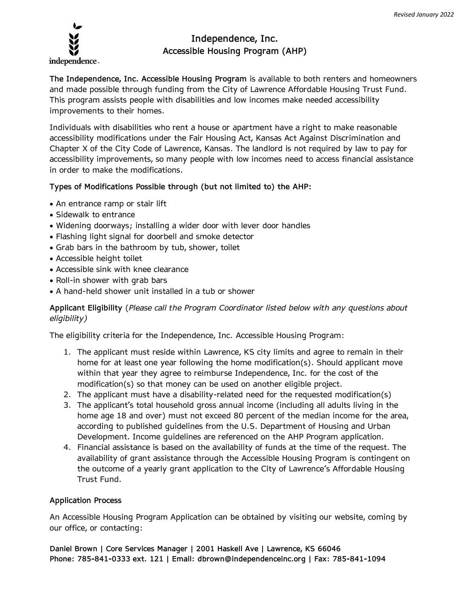

# **Independence, Inc. Accessible Housing Program (AHP)**

**The Independence, Inc. Accessible Housing Program** is available to both renters and homeowners and made possible through funding from the City of Lawrence Affordable Housing Trust Fund. This program assists people with disabilities and low incomes make needed accessibility improvements to their homes.

Individuals with disabilities who rent a house or apartment have a right to make reasonable accessibility modifications under the Fair Housing Act, Kansas Act Against Discrimination and Chapter X of the City Code of Lawrence, Kansas. The landlord is not required by law to pay for accessibility improvements, so many people with low incomes need to access financial assistance in order to make the modifications.

## **Types of Modifications Possible through (but not limited to) the AHP:**

- An entrance ramp or stair lift
- Sidewalk to entrance
- Widening doorways; installing a wider door with lever door handles
- Flashing light signal for doorbell and smoke detector
- Grab bars in the bathroom by tub, shower, toilet
- Accessible height toilet
- Accessible sink with knee clearance
- Roll-in shower with grab bars
- A hand-held shower unit installed in a tub or shower

# **Applicant Eligibility** (*Please call the Program Coordinator listed below with any questions about eligibility)*

The eligibility criteria for the Independence, Inc. Accessible Housing Program:

- 1. The applicant must reside within Lawrence, KS city limits and agree to remain in their home for at least one year following the home modification(s). Should applicant move within that year they agree to reimburse Independence, Inc. for the cost of the modification(s) so that money can be used on another eligible project.
- 2. The applicant must have a disability-related need for the requested modification(s)
- 3. The applicant's total household gross annual income (including all adults living in the home age 18 and over) must not exceed 80 percent of the median income for the area, according to published guidelines from the U.S. Department of Housing and Urban Development. Income guidelines are referenced on the AHP Program application.
- 4. Financial assistance is based on the availability of funds at the time of the request. The availability of grant assistance through the Accessible Housing Program is contingent on the outcome of a yearly grant application to the City of Lawrence's Affordable Housing Trust Fund.

#### **Application Process**

An Accessible Housing Program Application can be obtained by visiting our website, coming by our office, or contacting:

**Daniel Brown | Core Services Manager | 2001 Haskell Ave | Lawrence, KS 66046 Phone: 785-841-0333 ext. 121 | Email: dbrown@independenceinc.org | Fax: 785-841-1094**